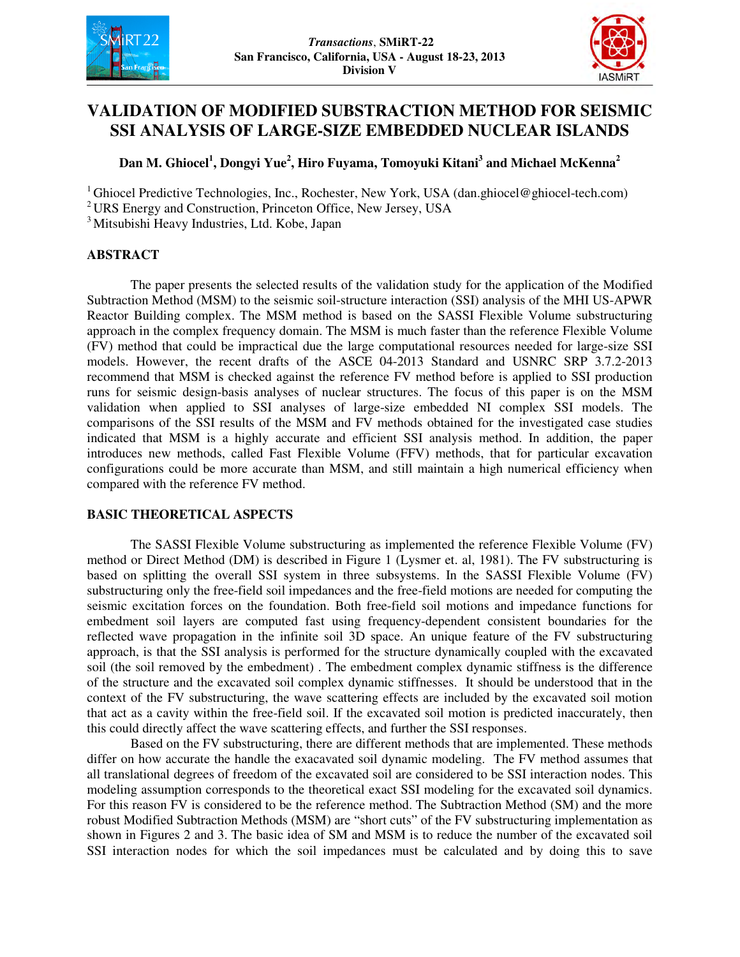



# **VALIDATION OF MODIFIED SUBSTRACTION METHOD FOR SEISMIC SSI ANALYSIS OF LARGE-SIZE EMBEDDED NUCLEAR ISLANDS**

## **Dan M. Ghiocel<sup>1</sup> , Dongyi Yue<sup>2</sup> , Hiro Fuyama, Tomoyuki Kitani<sup>3</sup> and Michael McKenna<sup>2</sup>**

<sup>1</sup> Ghiocel Predictive Technologies, Inc., Rochester, New York, USA (dan.ghiocel@ghiocel-tech.com)

<sup>2</sup>URS Energy and Construction, Princeton Office, New Jersey, USA

<sup>3</sup> Mitsubishi Heavy Industries, Ltd. Kobe, Japan

### **ABSTRACT**

The paper presents the selected results of the validation study for the application of the Modified Subtraction Method (MSM) to the seismic soil-structure interaction (SSI) analysis of the MHI US-APWR Reactor Building complex. The MSM method is based on the SASSI Flexible Volume substructuring approach in the complex frequency domain. The MSM is much faster than the reference Flexible Volume (FV) method that could be impractical due the large computational resources needed for large-size SSI models. However, the recent drafts of the ASCE 04-2013 Standard and USNRC SRP 3.7.2-2013 recommend that MSM is checked against the reference FV method before is applied to SSI production runs for seismic design-basis analyses of nuclear structures. The focus of this paper is on the MSM validation when applied to SSI analyses of large-size embedded NI complex SSI models. The comparisons of the SSI results of the MSM and FV methods obtained for the investigated case studies indicated that MSM is a highly accurate and efficient SSI analysis method. In addition, the paper introduces new methods, called Fast Flexible Volume (FFV) methods, that for particular excavation configurations could be more accurate than MSM, and still maintain a high numerical efficiency when compared with the reference FV method.

### **BASIC THEORETICAL ASPECTS**

The SASSI Flexible Volume substructuring as implemented the reference Flexible Volume (FV) method or Direct Method (DM) is described in Figure 1 (Lysmer et. al, 1981). The FV substructuring is based on splitting the overall SSI system in three subsystems. In the SASSI Flexible Volume (FV) substructuring only the free-field soil impedances and the free-field motions are needed for computing the seismic excitation forces on the foundation. Both free-field soil motions and impedance functions for embedment soil layers are computed fast using frequency-dependent consistent boundaries for the reflected wave propagation in the infinite soil 3D space. An unique feature of the FV substructuring approach, is that the SSI analysis is performed for the structure dynamically coupled with the excavated soil (the soil removed by the embedment) . The embedment complex dynamic stiffness is the difference of the structure and the excavated soil complex dynamic stiffnesses. It should be understood that in the context of the FV substructuring, the wave scattering effects are included by the excavated soil motion that act as a cavity within the free-field soil. If the excavated soil motion is predicted inaccurately, then this could directly affect the wave scattering effects, and further the SSI responses.

Based on the FV substructuring, there are different methods that are implemented. These methods differ on how accurate the handle the exacavated soil dynamic modeling. The FV method assumes that all translational degrees of freedom of the excavated soil are considered to be SSI interaction nodes. This modeling assumption corresponds to the theoretical exact SSI modeling for the excavated soil dynamics. For this reason FV is considered to be the reference method. The Subtraction Method (SM) and the more robust Modified Subtraction Methods (MSM) are "short cuts" of the FV substructuring implementation as shown in Figures 2 and 3. The basic idea of SM and MSM is to reduce the number of the excavated soil SSI interaction nodes for which the soil impedances must be calculated and by doing this to save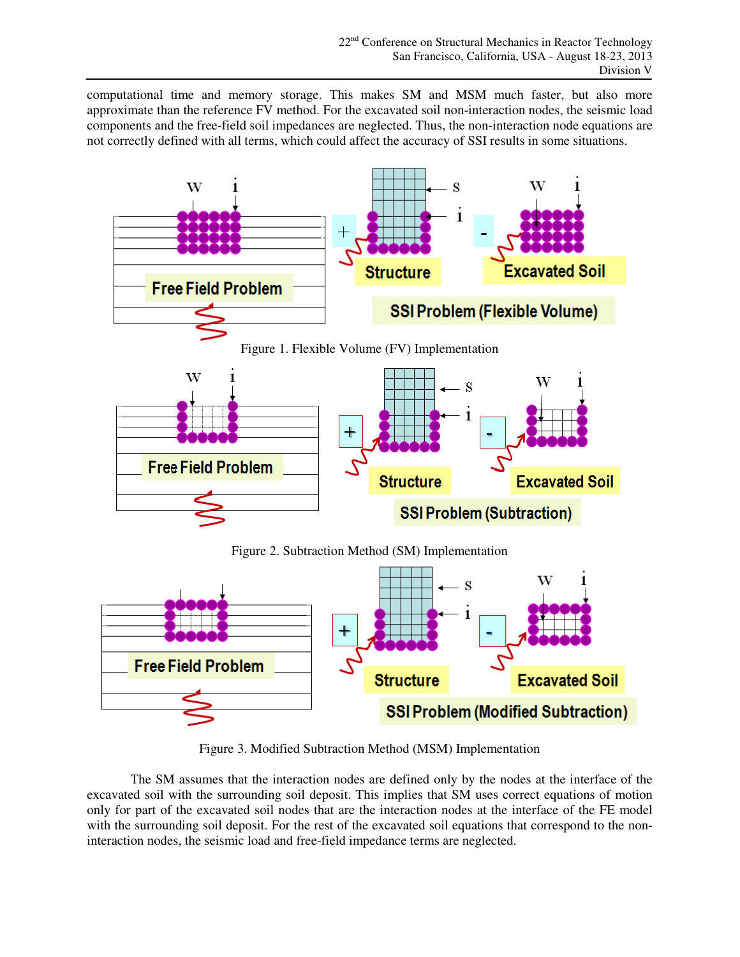computational time and memory storage. This makes SM and MSM much faster, but also more approximate than the reference FV method. For the excavated soil non-interaction nodes, the seismic load components and the free-field soil impedances are neglected. Thus, the non-interaction node equations are not correctly defined with all terms, which could affect the accuracy of SSI results in some situations.



Figure 3. Modified Subtraction Method (MSM) Implementation

The SM assumes that the interaction nodes are defined only by the nodes at the interface of the excavated soil with the surrounding soil deposit. This implies that SM uses correct equations of motion only for part of the excavated soil nodes that are the interaction nodes at the interface of the FE model with the surrounding soil deposit. For the rest of the excavated soil equations that correspond to the noninteraction nodes, the seismic load and free-field impedance terms are neglected.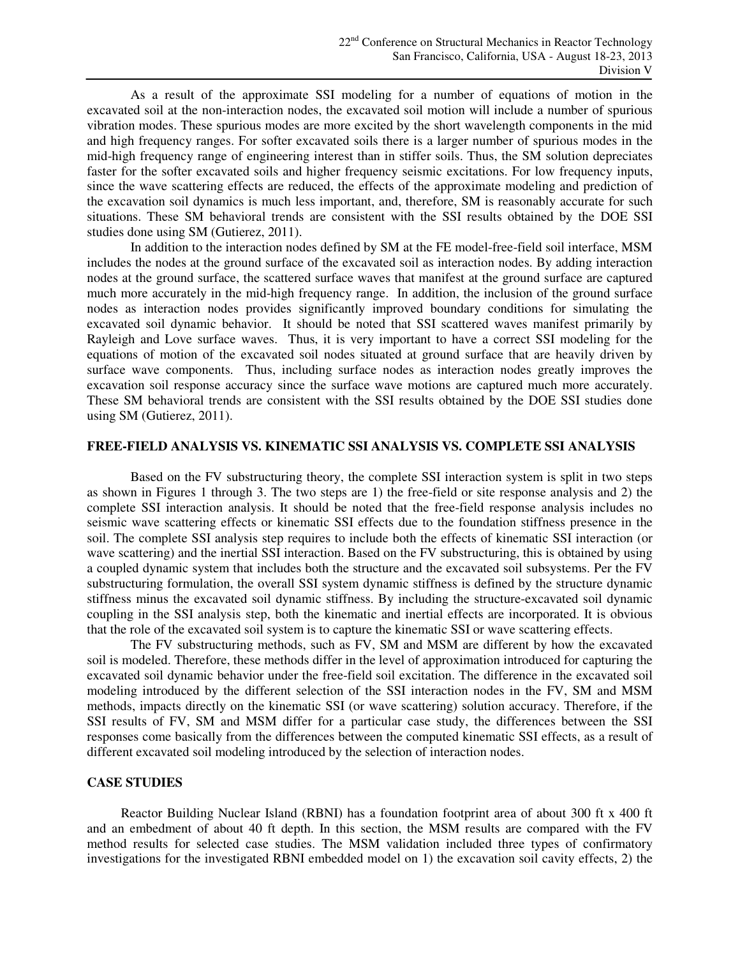As a result of the approximate SSI modeling for a number of equations of motion in the excavated soil at the non-interaction nodes, the excavated soil motion will include a number of spurious vibration modes. These spurious modes are more excited by the short wavelength components in the mid and high frequency ranges. For softer excavated soils there is a larger number of spurious modes in the mid-high frequency range of engineering interest than in stiffer soils. Thus, the SM solution depreciates faster for the softer excavated soils and higher frequency seismic excitations. For low frequency inputs, since the wave scattering effects are reduced, the effects of the approximate modeling and prediction of the excavation soil dynamics is much less important, and, therefore, SM is reasonably accurate for such situations. These SM behavioral trends are consistent with the SSI results obtained by the DOE SSI studies done using SM (Gutierez, 2011).

In addition to the interaction nodes defined by SM at the FE model-free-field soil interface, MSM includes the nodes at the ground surface of the excavated soil as interaction nodes. By adding interaction nodes at the ground surface, the scattered surface waves that manifest at the ground surface are captured much more accurately in the mid-high frequency range. In addition, the inclusion of the ground surface nodes as interaction nodes provides significantly improved boundary conditions for simulating the excavated soil dynamic behavior. It should be noted that SSI scattered waves manifest primarily by Rayleigh and Love surface waves. Thus, it is very important to have a correct SSI modeling for the equations of motion of the excavated soil nodes situated at ground surface that are heavily driven by surface wave components. Thus, including surface nodes as interaction nodes greatly improves the excavation soil response accuracy since the surface wave motions are captured much more accurately. These SM behavioral trends are consistent with the SSI results obtained by the DOE SSI studies done using SM (Gutierez, 2011).

#### **FREE-FIELD ANALYSIS VS. KINEMATIC SSI ANALYSIS VS. COMPLETE SSI ANALYSIS**

Based on the FV substructuring theory, the complete SSI interaction system is split in two steps as shown in Figures 1 through 3. The two steps are 1) the free-field or site response analysis and 2) the complete SSI interaction analysis. It should be noted that the free-field response analysis includes no seismic wave scattering effects or kinematic SSI effects due to the foundation stiffness presence in the soil. The complete SSI analysis step requires to include both the effects of kinematic SSI interaction (or wave scattering) and the inertial SSI interaction. Based on the FV substructuring, this is obtained by using a coupled dynamic system that includes both the structure and the excavated soil subsystems. Per the FV substructuring formulation, the overall SSI system dynamic stiffness is defined by the structure dynamic stiffness minus the excavated soil dynamic stiffness. By including the structure-excavated soil dynamic coupling in the SSI analysis step, both the kinematic and inertial effects are incorporated. It is obvious that the role of the excavated soil system is to capture the kinematic SSI or wave scattering effects.

The FV substructuring methods, such as FV, SM and MSM are different by how the excavated soil is modeled. Therefore, these methods differ in the level of approximation introduced for capturing the excavated soil dynamic behavior under the free-field soil excitation. The difference in the excavated soil modeling introduced by the different selection of the SSI interaction nodes in the FV, SM and MSM methods, impacts directly on the kinematic SSI (or wave scattering) solution accuracy. Therefore, if the SSI results of FV, SM and MSM differ for a particular case study, the differences between the SSI responses come basically from the differences between the computed kinematic SSI effects, as a result of different excavated soil modeling introduced by the selection of interaction nodes.

#### **CASE STUDIES**

Reactor Building Nuclear Island (RBNI) has a foundation footprint area of about 300 ft x 400 ft and an embedment of about 40 ft depth. In this section, the MSM results are compared with the FV method results for selected case studies. The MSM validation included three types of confirmatory investigations for the investigated RBNI embedded model on 1) the excavation soil cavity effects, 2) the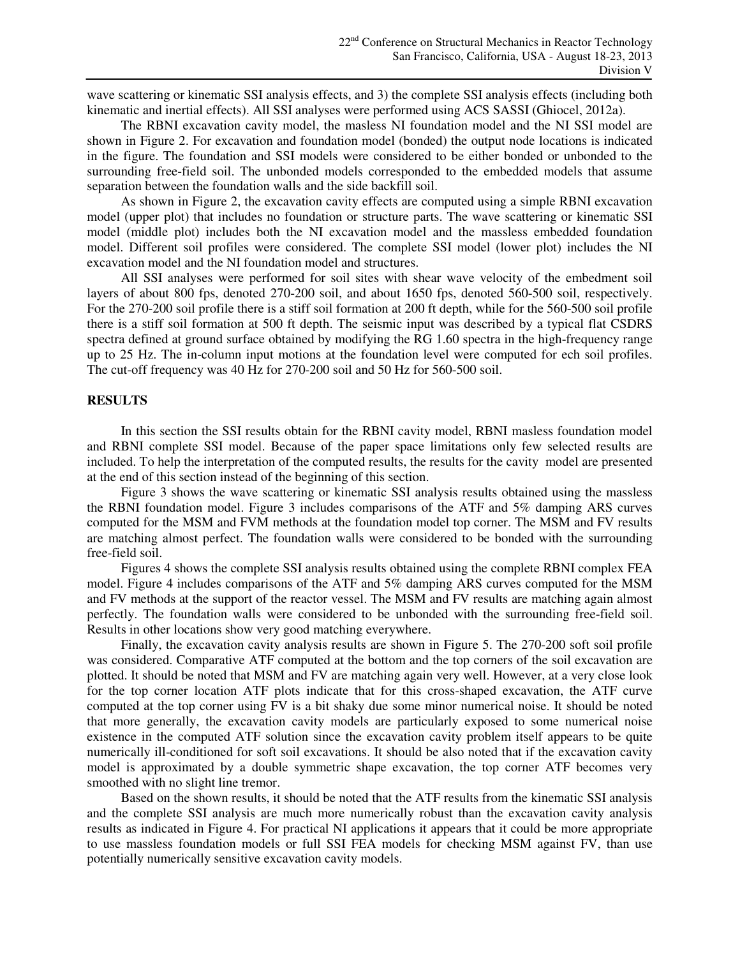wave scattering or kinematic SSI analysis effects, and 3) the complete SSI analysis effects (including both kinematic and inertial effects). All SSI analyses were performed using ACS SASSI (Ghiocel, 2012a).

The RBNI excavation cavity model, the masless NI foundation model and the NI SSI model are shown in Figure 2. For excavation and foundation model (bonded) the output node locations is indicated in the figure. The foundation and SSI models were considered to be either bonded or unbonded to the surrounding free-field soil. The unbonded models corresponded to the embedded models that assume separation between the foundation walls and the side backfill soil.

As shown in Figure 2, the excavation cavity effects are computed using a simple RBNI excavation model (upper plot) that includes no foundation or structure parts. The wave scattering or kinematic SSI model (middle plot) includes both the NI excavation model and the massless embedded foundation model. Different soil profiles were considered. The complete SSI model (lower plot) includes the NI excavation model and the NI foundation model and structures.

All SSI analyses were performed for soil sites with shear wave velocity of the embedment soil layers of about 800 fps, denoted 270-200 soil, and about 1650 fps, denoted 560-500 soil, respectively. For the 270-200 soil profile there is a stiff soil formation at 200 ft depth, while for the 560-500 soil profile there is a stiff soil formation at 500 ft depth. The seismic input was described by a typical flat CSDRS spectra defined at ground surface obtained by modifying the RG 1.60 spectra in the high-frequency range up to 25 Hz. The in-column input motions at the foundation level were computed for ech soil profiles. The cut-off frequency was 40 Hz for 270-200 soil and 50 Hz for 560-500 soil.

#### **RESULTS**

In this section the SSI results obtain for the RBNI cavity model, RBNI masless foundation model and RBNI complete SSI model. Because of the paper space limitations only few selected results are included. To help the interpretation of the computed results, the results for the cavity model are presented at the end of this section instead of the beginning of this section.

Figure 3 shows the wave scattering or kinematic SSI analysis results obtained using the massless the RBNI foundation model. Figure 3 includes comparisons of the ATF and 5% damping ARS curves computed for the MSM and FVM methods at the foundation model top corner. The MSM and FV results are matching almost perfect. The foundation walls were considered to be bonded with the surrounding free-field soil.

Figures 4 shows the complete SSI analysis results obtained using the complete RBNI complex FEA model. Figure 4 includes comparisons of the ATF and 5% damping ARS curves computed for the MSM and FV methods at the support of the reactor vessel. The MSM and FV results are matching again almost perfectly. The foundation walls were considered to be unbonded with the surrounding free-field soil. Results in other locations show very good matching everywhere.

Finally, the excavation cavity analysis results are shown in Figure 5. The 270-200 soft soil profile was considered. Comparative ATF computed at the bottom and the top corners of the soil excavation are plotted. It should be noted that MSM and FV are matching again very well. However, at a very close look for the top corner location ATF plots indicate that for this cross-shaped excavation, the ATF curve computed at the top corner using FV is a bit shaky due some minor numerical noise. It should be noted that more generally, the excavation cavity models are particularly exposed to some numerical noise existence in the computed ATF solution since the excavation cavity problem itself appears to be quite numerically ill-conditioned for soft soil excavations. It should be also noted that if the excavation cavity model is approximated by a double symmetric shape excavation, the top corner ATF becomes very smoothed with no slight line tremor.

Based on the shown results, it should be noted that the ATF results from the kinematic SSI analysis and the complete SSI analysis are much more numerically robust than the excavation cavity analysis results as indicated in Figure 4. For practical NI applications it appears that it could be more appropriate to use massless foundation models or full SSI FEA models for checking MSM against FV, than use potentially numerically sensitive excavation cavity models.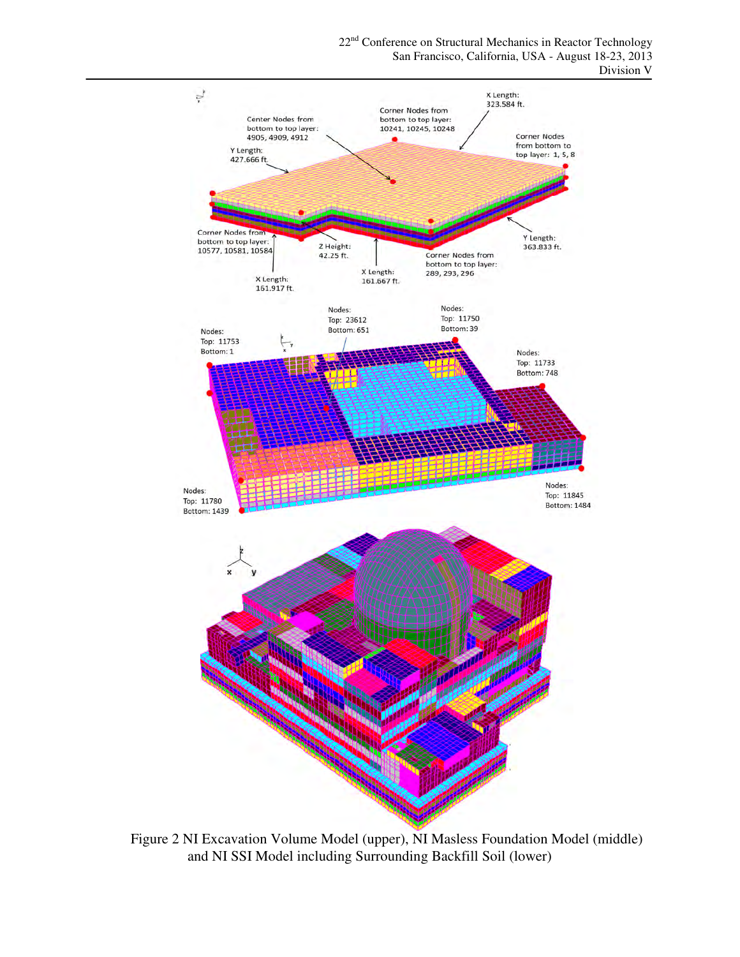

22<sup>nd</sup> Conference on Structural Mechanics in Reactor Technology San Francisco, California, USA - August 18-23, 2013 Division V

Figure 2 NI Excavation Volume Model (upper), NI Masless Foundation Model (middle) and NI SSI Model including Surrounding Backfill Soil (lower)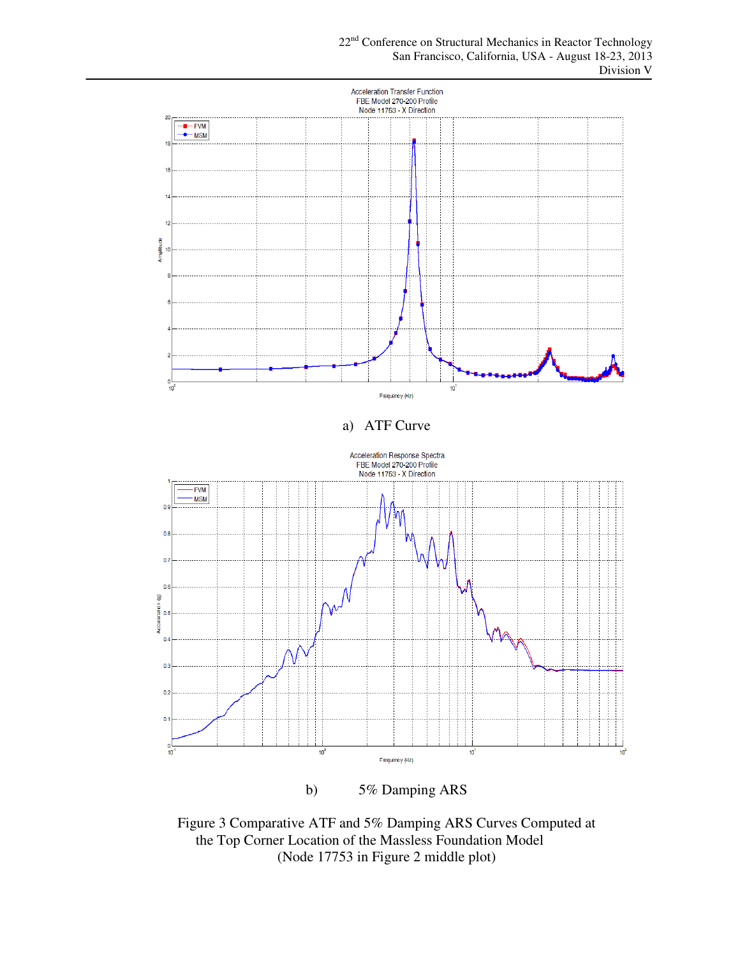

b) 5% Damping ARS

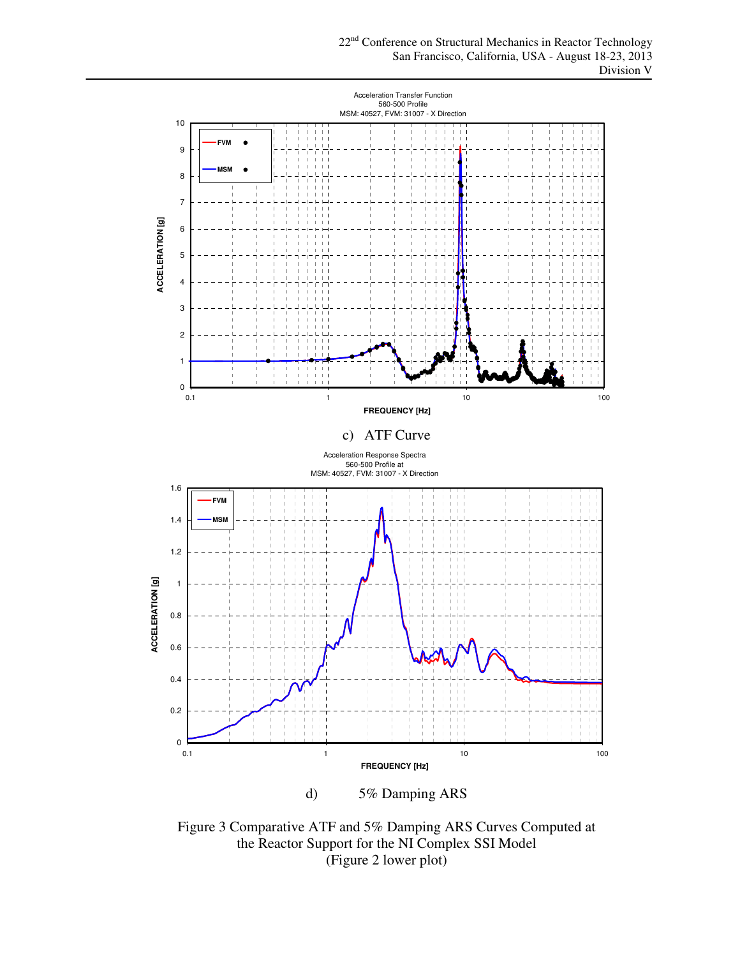

d) 5% Damping ARS

Figure 3 Comparative ATF and 5% Damping ARS Curves Computed at the Reactor Support for the NI Complex SSI Model (Figure 2 lower plot)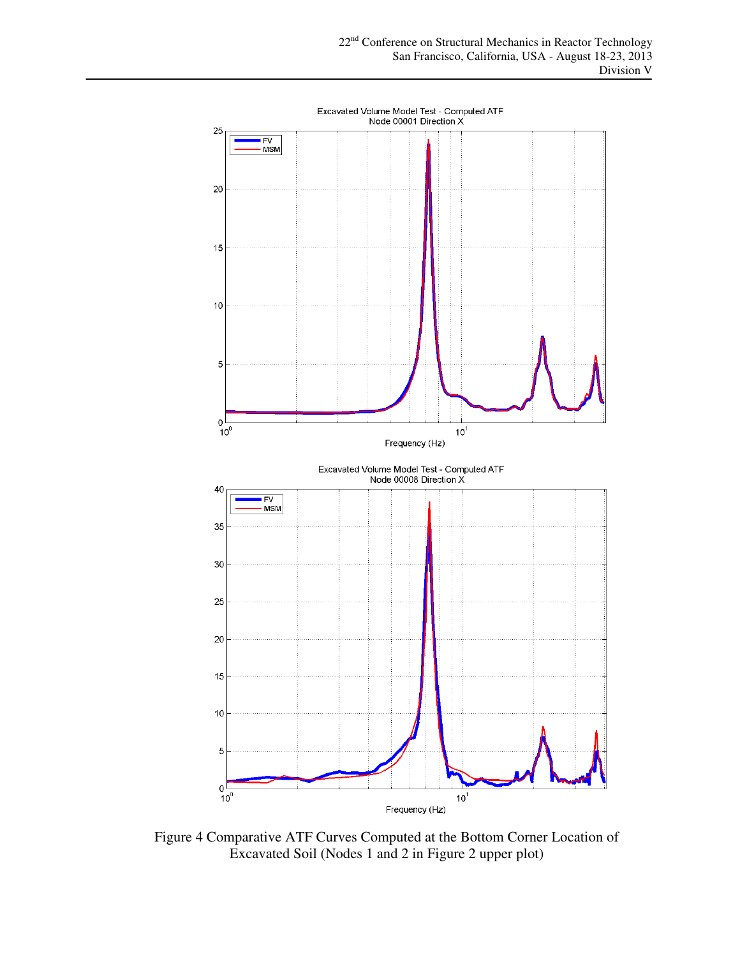

Figure 4 Comparative ATF Curves Computed at the Bottom Corner Location of Excavated Soil (Nodes 1 and 2 in Figure 2 upper plot)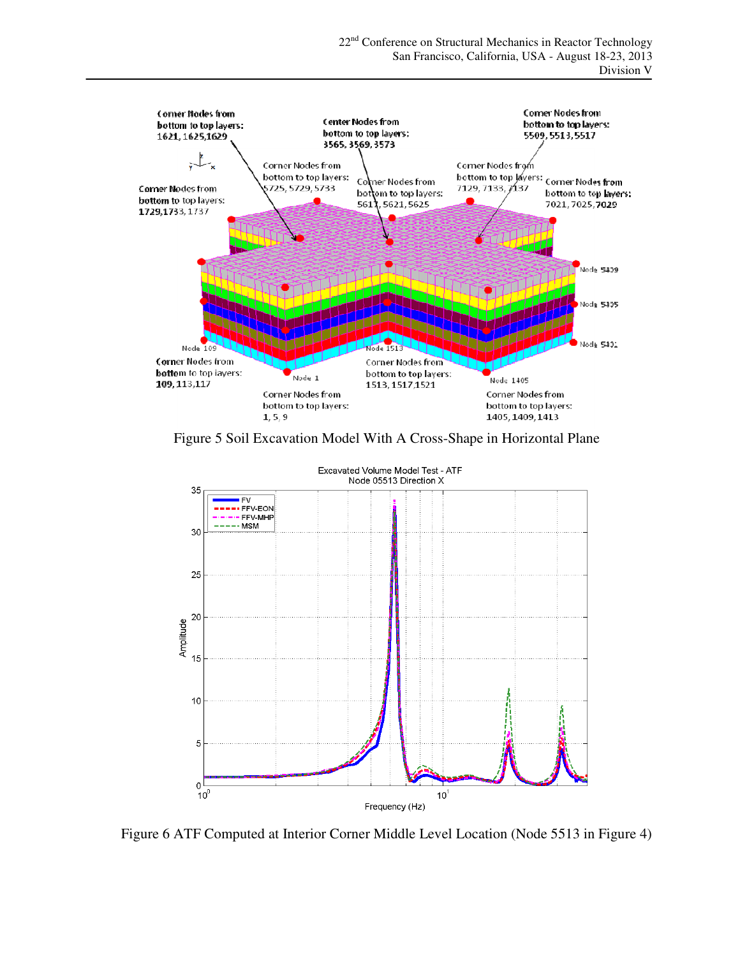

Figure 5 Soil Excavation Model With A Cross-Shape in Horizontal Plane



Figure 6 ATF Computed at Interior Corner Middle Level Location (Node 5513 in Figure 4)